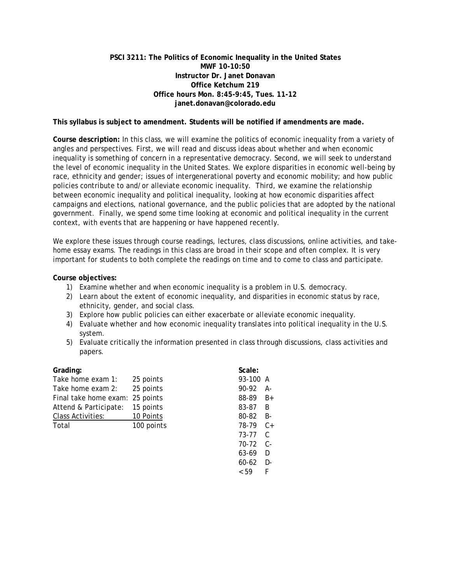# **PSCI 3211: The Politics of Economic Inequality in the United States MWF 10-10:50 Instructor Dr. Janet Donavan Office Ketchum 219 Office hours Mon. 8:45-9:45, Tues. 11-12 janet.donavan@colorado.edu**

**This syllabus is subject to amendment. Students will be notified if amendments are made.**

**Course description:** In this class, we will examine the politics of economic inequality from a variety of angles and perspectives. First, we will read and discuss ideas about whether and when economic inequality is something of concern in a representative democracy. Second, we will seek to understand the level of economic inequality in the United States. We explore disparities in economic well-being by race, ethnicity and gender; issues of intergenerational poverty and economic mobility; and how public policies contribute to and/or alleviate economic inequality. Third, we examine the relationship between economic inequality and political inequality, looking at how economic disparities affect campaigns and elections, national governance, and the public policies that are adopted by the national government. Finally, we spend some time looking at economic and political inequality in the current context, with events that are happening or have happened recently.

We explore these issues through course readings, lectures, class discussions, online activities, and takehome essay exams. The readings in this class are broad in their scope and often complex. It is very important for students to both complete the readings on time and to come to class and participate.

# **Course objectives:**

- 1) Examine whether and when economic inequality is a problem in U.S. democracy.
- 2) Learn about the extent of economic inequality, and disparities in economic status by race, ethnicity, gender, and social class.
- 3) Explore how public policies can either exacerbate or alleviate economic inequality.
- 4) Evaluate whether and how economic inequality translates into political inequality in the U.S. system.
- 5) Evaluate critically the information presented in class through discussions, class activities and papers.

| Grading:              |            |      | Scale:    |      |
|-----------------------|------------|------|-----------|------|
| Take home exam 1:     | 25 points  |      | 93-100 A  |      |
| Take home exam 2:     | 25 points  |      | 90-92     | A-   |
| Final take home exam: | 25 points  |      | 88-89     | $B+$ |
| Attend & Participate: | 15 points  |      | 83-87     | B    |
| Class Activities:     | 10 Points  |      | 80-82     | B-   |
| Total                 | 100 points |      | 78-79     | $C+$ |
|                       |            |      | 73-77     | C    |
|                       |            |      | 70-72     | $C-$ |
|                       |            |      | 63-69     | D    |
|                       |            |      | $60 - 62$ | $D-$ |
|                       |            | < 59 |           |      |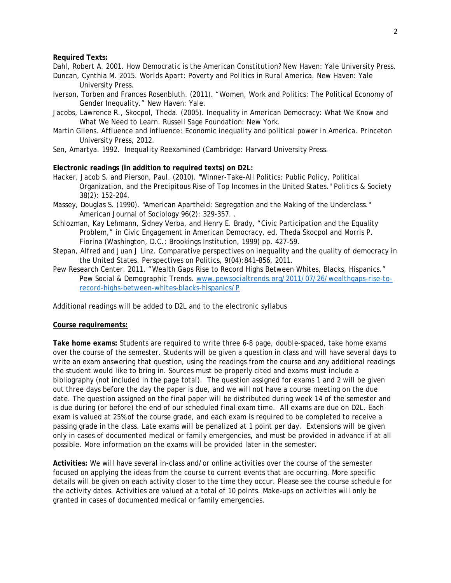**Required Texts:**

Dahl, Robert A. 2001. *How Democratic is the American Constitution?* New Haven: Yale University Press.

- Duncan, Cynthia M. 2015. *Worlds Apart: Poverty and Politics in Rural America.* New Haven: Yale University Press.
- Iverson, Torben and Frances Rosenbluth. (2011). "Women, Work and Politics: The Political Economy of Gender Inequality." New Haven: Yale.
- Jacobs, Lawrence R., Skocpol, Theda. (2005). Inequality in American Democracy: What We Know and What We Need to Learn. Russell Sage Foundation: New York.
- Martin Gilens. Affluence and influence: Economic inequality and political power in America. Princeton University Press, 2012.
- Sen, Amartya. 1992. *Inequality Reexamined (*Cambridge: Harvard University Press.

## **Electronic readings (in addition to required texts) on D2L:**

- Hacker, Jacob S. and Pierson, Paul. (2010). "Winner-Take-All Politics: Public Policy, Political Organization, and the Precipitous Rise of Top Incomes in the United States." Politics & Society 38(2): 152-204.
- Massey, Douglas S. (1990). "American Apartheid: Segregation and the Making of the Underclass." American Journal of Sociology 96(2): 329-357. .
- Schlozman, Kay Lehmann, Sidney Verba, and Henry E. Brady, "Civic Participation and the Equality Problem," in Civic Engagement in American Democracy, ed. Theda Skocpol and Morris P. Fiorina (Washington, D.C.: Brookings Institution, 1999) pp. 427-59.
- Stepan, Alfred and Juan J Linz. Comparative perspectives on inequality and the quality of democracy in the United States. Perspectives on Politics, 9(04):841–856, 2011.
- Pew Research Center. 2011. "Wealth Gaps Rise to Record Highs Between Whites, Blacks, Hispanics." Pew Social & Demographic Trends. [www.pewsocialtrends.org/2011/07/26/wealthgaps-rise-to](http://www.pewsocialtrends.org/2011/07/26/wealthgaps-rise-to-record-highs-between-whites-blacks-hispanics/)[record-highs-between-whites-blacks-hispanics/P](http://www.pewsocialtrends.org/2011/07/26/wealthgaps-rise-to-record-highs-between-whites-blacks-hispanics/)

Additional readings will be added to D2L and to the electronic syllabus

#### **Course requirements:**

**Take home exams:** Students are required to write three 6-8 page, double-spaced, take home exams over the course of the semester. Students will be given a question in class and will have several days to write an exam answering that question, using the readings from the course and any additional readings the student would like to bring in. Sources must be properly cited and exams must include a bibliography (not included in the page total). The question assigned for exams 1 and 2 will be given out three days before the day the paper is due, and we will not have a course meeting on the due date. The question assigned on the final paper will be distributed during week 14 of the semester and is due during (or before) the end of our scheduled final exam time. All exams are due on D2L. Each exam is valued at 25% of the course grade, and each exam is required to be completed to receive a passing grade in the class. Late exams will be penalized at 1 point per day. Extensions will be given only in cases of documented medical or family emergencies, and must be provided in advance if at all possible. More information on the exams will be provided later in the semester.

**Activities:** We will have several in-class and/or online activities over the course of the semester focused on applying the ideas from the course to current events that are occurring. More specific details will be given on each activity closer to the time they occur. Please see the course schedule for the activity dates. Activities are valued at a total of 10 points. Make-ups on activities will only be granted in cases of documented medical or family emergencies.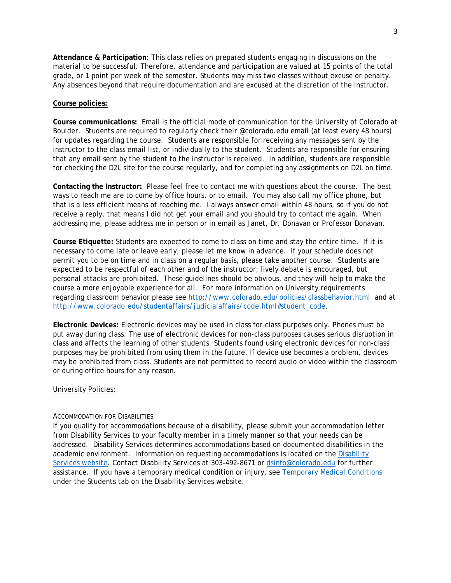**Attendance & Participation**: This class relies on prepared students engaging in discussions on the material to be successful. Therefore, attendance and participation are valued at 15 points of the total grade, or 1 point per week of the semester. Students may miss two classes without excuse or penalty. Any absences beyond that require documentation and are excused at the discretion of the instructor.

## **Course policies:**

**Course communications:** Email is the official mode of communication for the University of Colorado at Boulder. Students are required to regularly check their @colorado.edu email (at least every 48 hours) for updates regarding the course. Students are responsible for receiving any messages sent by the instructor to the class email list, or individually to the student. Students are responsible for ensuring that any email sent by the student to the instructor is received. In addition, students are responsible for checking the D2L site for the course regularly, and for completing any assignments on D2L on time.

**Contacting the Instructor:** Please feel free to contact me with questions about the course. The best ways to reach me are to come by office hours, or to email. You may also call my office phone, but that is a less efficient means of reaching me. I always answer email within 48 hours, so if you do not receive a reply, that means I did not get your email and you should try to contact me again. When addressing me, please address me in person or in email as Janet, Dr. Donavan or Professor Donavan.

**Course Etiquette:** Students are expected to come to class on time and stay the entire time. If it is necessary to come late or leave early, please let me know in advance. If your schedule does not permit you to be on time and in class on a regular basis, please take another course. Students are expected to be respectful of each other and of the instructor; lively debate is encouraged, but personal attacks are prohibited. These guidelines should be obvious, and they will help to make the course a more enjoyable experience for all. For more information on University requirements regarding classroom behavior please see<http://www.colorado.edu/policies/classbehavior.html>and at [http://www.colorado.edu/studentaffairs/judicialaffairs/code.html#student\\_code.](http://www.colorado.edu/studentaffairs/judicialaffairs/code.html#student_code)

**Electronic Devices:** Electronic devices may be used in class for class purposes only. Phones must be put away during class. The use of electronic devices for non-class purposes causes serious disruption in class and affects the learning of other students. Students found using electronic devices for non-class purposes may be prohibited from using them in the future. If device use becomes a problem, devices may be prohibited from class. Students are not permitted to record audio or video within the classroom or during office hours for any reason.

## University Policies:

### ACCOMMODATION FOR DISABILITIES

If you qualify for accommodations because of a disability, please submit your accommodation letter from Disability Services to your faculty member in a timely manner so that your needs can be addressed. Disability Services determines accommodations based on documented disabilities in the academic environment. Information on requesting accommodations is located on the [Disability](http://www.colorado.edu/disabilityservices/students)  [Services website.](http://www.colorado.edu/disabilityservices/students) Contact Disability Services at 303-492-8671 or [dsinfo@colorado.edu](mailto:dsinfo@colorado.edu) for further assistance. If you have a temporary medical condition or injury, see [Temporary Medical Conditions](http://www.colorado.edu/disabilityservices/students/temporary-medical-conditions) under the Students tab on the Disability Services website.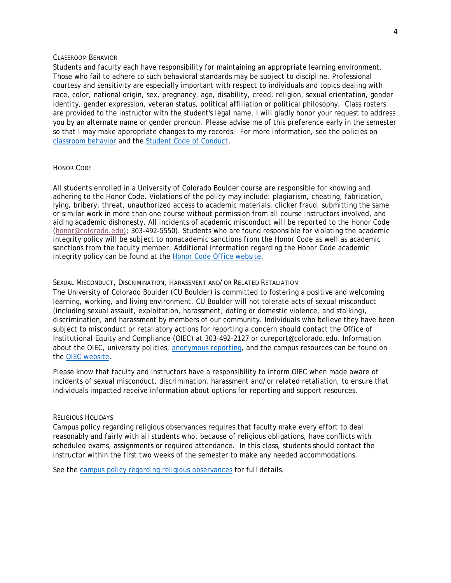## CLASSROOM BEHAVIOR

Students and faculty each have responsibility for maintaining an appropriate learning environment. Those who fail to adhere to such behavioral standards may be subject to discipline. Professional courtesy and sensitivity are especially important with respect to individuals and topics dealing with race, color, national origin, sex, pregnancy, age, disability, creed, religion, sexual orientation, gender identity, gender expression, veteran status, political affiliation or political philosophy. Class rosters are provided to the instructor with the student's legal name. I will gladly honor your request to address you by an alternate name or gender pronoun. Please advise me of this preference early in the semester so that I may make appropriate changes to my records. For more information, see the policies on [classroom behavior](http://www.colorado.edu/policies/student-classroom-and-course-related-behavior) and the [Student Code of Conduct.](http://www.colorado.edu/osccr/)

### HONOR CODE

All students enrolled in a University of Colorado Boulder course are responsible for knowing and adhering to the Honor Code. Violations of the policy may include: plagiarism, cheating, fabrication, lying, bribery, threat, unauthorized access to academic materials, clicker fraud, submitting the same or similar work in more than one course without permission from all course instructors involved, and aiding academic dishonesty. All incidents of academic misconduct will be reported to the Honor Code [\(honor@colorado.edu\)](mailto:honor@colorado.edu); 303-492-5550). Students who are found responsible for violating the academic integrity policy will be subject to nonacademic sanctions from the Honor Code as well as academic sanctions from the faculty member. Additional information regarding the Honor Code academic integrity policy can be found at the [Honor Code Office website.](https://www.colorado.edu/osccr/honor-code)

#### SEXUAL MISCONDUCT, DISCRIMINATION, HARASSMENT AND/OR RELATED RETALIATION

The University of Colorado Boulder (CU Boulder) is committed to fostering a positive and welcoming learning, working, and living environment. CU Boulder will not tolerate acts of sexual misconduct (including sexual assault, exploitation, harassment, dating or domestic violence, and stalking), discrimination, and harassment by members of our community. Individuals who believe they have been subject to misconduct or retaliatory actions for reporting a concern should contact the Office of Institutional Equity and Compliance (OIEC) at 303-492-2127 or cureport@colorado.edu. Information about the OIEC, university policies, [anonymous reporting,](https://cuboulder.qualtrics.com/jfe/form/SV_0PnqVK4kkIJIZnf) and the campus resources can be found on the [OIEC website.](http://www.colorado.edu/institutionalequity/)

Please know that faculty and instructors have a responsibility to inform OIEC when made aware of incidents of sexual misconduct, discrimination, harassment and/or related retaliation, to ensure that individuals impacted receive information about options for reporting and support resources.

## RELIGIOUS HOLIDAYS

Campus policy regarding religious observances requires that faculty make every effort to deal reasonably and fairly with all students who, because of religious obligations, have conflicts with scheduled exams, assignments or required attendance. In this class, students should contact the instructor within the first two weeks of the semester to make any needed accommodations.

See the [campus policy regarding religious observances](http://www.colorado.edu/policies/observance-religious-holidays-and-absences-classes-andor-exams) for full details.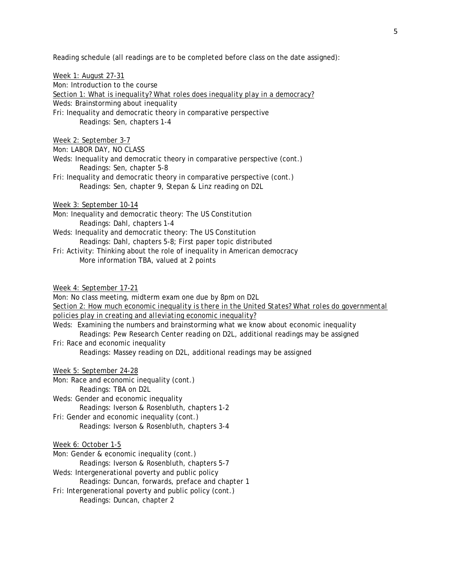Reading schedule (all readings are to be completed before class on the date assigned):

Week 1: August 27-31 Mon: Introduction to the course *Section 1: What is inequality? What roles does inequality play in a democracy?* Weds: Brainstorming about inequality Fri: Inequality and democratic theory in comparative perspective Readings: Sen, chapters 1-4 Week 2: September 3-7 Mon: LABOR DAY, NO CLASS Weds: Inequality and democratic theory in comparative perspective (cont.) Readings: Sen, chapter 5-8 Fri: Inequality and democratic theory in comparative perspective (cont.) Readings: Sen, chapter 9, Stepan & Linz reading on D2L Week 3: September 10-14 Mon: Inequality and democratic theory: The US Constitution Readings: Dahl, chapters 1-4 Weds: Inequality and democratic theory: The US Constitution Readings: Dahl, chapters 5-8; First paper topic distributed Fri: Activity: Thinking about the role of inequality in American democracy More information TBA, valued at 2 points Week 4: September 17-21 Mon: No class meeting, midterm exam one due by 8pm on D2L *Section 2: How much economic inequality is there in the United States? What roles do governmental policies play in creating and alleviating economic inequality?* Weds: Examining the numbers and brainstorming what we know about economic inequality Readings: Pew Research Center reading on D2L, additional readings may be assigned Fri: Race and economic inequality Readings: Massey reading on D2L, additional readings may be assigned Week 5: September 24-28 Mon: Race and economic inequality (cont.) Readings: TBA on D2L Weds: Gender and economic inequality Readings: Iverson & Rosenbluth, chapters 1-2 Fri: Gender and economic inequality (cont.) Readings: Iverson & Rosenbluth, chapters 3-4 Week 6: October 1-5 Mon: Gender & economic inequality (cont.) Readings: Iverson & Rosenbluth, chapters 5-7 Weds: Intergenerational poverty and public policy

Readings: Duncan, forwards, preface and chapter 1

Fri: Intergenerational poverty and public policy (cont.)

Readings: Duncan, chapter 2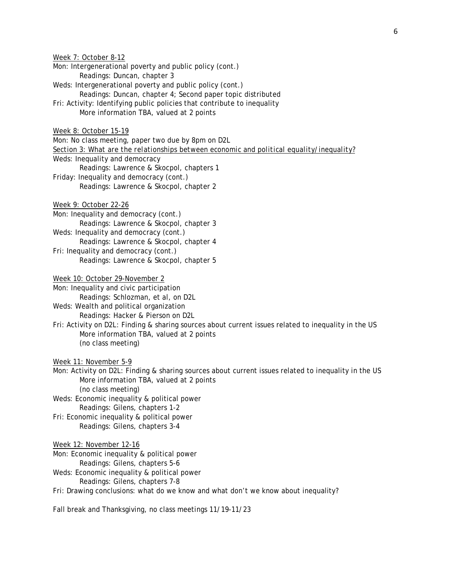Week 7: October 8-12 Mon: Intergenerational poverty and public policy (cont.) Readings: Duncan, chapter 3 Weds: Intergenerational poverty and public policy (cont.) Readings: Duncan, chapter 4; Second paper topic distributed Fri: Activity: Identifying public policies that contribute to inequality More information TBA, valued at 2 points Week 8: October 15-19 Mon: No class meeting, paper two due by 8pm on D2L *Section 3: What are the relationships between economic and political equality/inequality?* Weds: Inequality and democracy Readings: Lawrence & Skocpol, chapters 1 Friday: Inequality and democracy (cont.) Readings: Lawrence & Skocpol, chapter 2 Week 9: October 22-26 Mon: Inequality and democracy (cont.) Readings: Lawrence & Skocpol, chapter 3 Weds: Inequality and democracy (cont.) Readings: Lawrence & Skocpol, chapter 4 Fri: Inequality and democracy (cont.) Readings: Lawrence & Skocpol, chapter 5 Week 10: October 29-November 2 Mon: Inequality and civic participation Readings: Schlozman, et al, on D2L Weds: Wealth and political organization Readings: Hacker & Pierson on D2L Fri: Activity on D2L: Finding & sharing sources about current issues related to inequality in the US More information TBA, valued at 2 points (no class meeting) Week 11: November 5-9 Mon: Activity on D2L: Finding & sharing sources about current issues related to inequality in the US More information TBA, valued at 2 points (no class meeting) Weds: Economic inequality & political power Readings: Gilens, chapters 1-2 Fri: Economic inequality & political power Readings: Gilens, chapters 3-4 Week 12: November 12-16 Mon: Economic inequality & political power Readings: Gilens, chapters 5-6 Weds: Economic inequality & political power Readings: Gilens, chapters 7-8 Fri: Drawing conclusions: what do we know and what don't we know about inequality?

Fall break and Thanksgiving, no class meetings 11/19-11/23